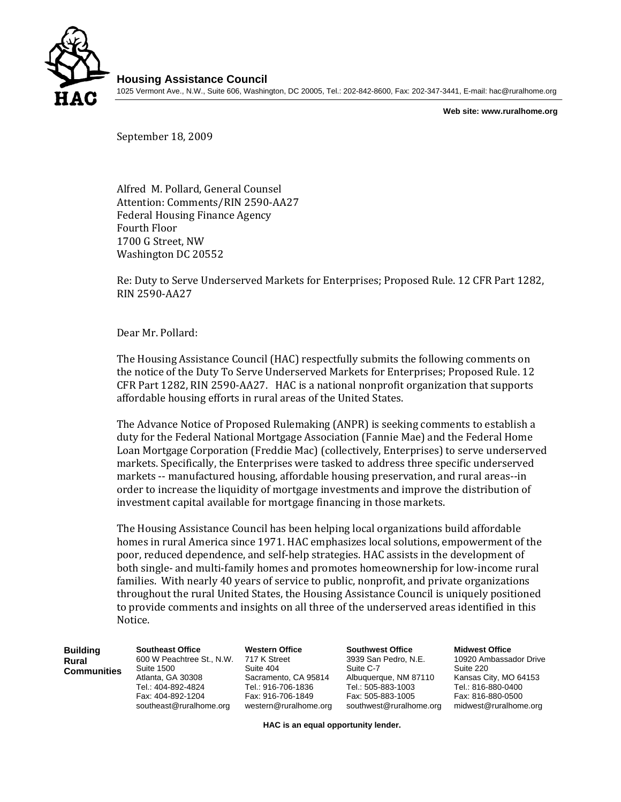

**Housing Assistance Council**  1025 Vermont Ave., N.W., Suite 606, Washington, DC 20005, Tel.: 202-842-8600, Fax: 202-347-3441, E-mail: hac@ruralhome.org

**Web site: www.ruralhome.org** 

September 18, 2009

Alfred M. Pollard, General Counsel Attention: Comments/RIN 2590‐AA27 Federal Housing Finance Agency Fourth Floor 1700 G Street, NW Washington DC 20552

Re: Duty to Serve Underserved Markets for Enterprises; Proposed Rule. 12 CFR Part 1282, RIN 2590‐AA27

Dear Mr. Pollard:

The Housing Assistance Council (HAC) respectfully submits the following comments on the notice of the Duty To Serve Underserved Markets for Enterprises; Proposed Rule. 12 CFR Part 1282, RIN 2590‐AA27. HAC is a national nonprofit organization that supports affordable housing efforts in rural areas of the United States.

The Advance Notice of Proposed Rulemaking (ANPR) is seeking comments to establish a duty for the Federal National Mortgage Association (Fannie Mae) and the Federal Home Loan Mortgage Corporation (Freddie Mac) (collectively, Enterprises) to serve underserved markets. Specifically, the Enterprises were tasked to address three specific underserved markets -- manufactured housing, affordable housing preservation, and rural areas--in order to increase the liquidity of mortgage investments and improve the distribution of investment capital available for mortgage financing in those markets.

The Housing Assistance Council has been helping local organizations build affordable homes in rural America since 1971. HAC emphasizes local solutions, empowerment of the poor, reduced dependence, and self‐help strategies. HAC assists in the development of both single‐ and multi‐family homes and promotes homeownership for low‐income rural families. With nearly 40 years of service to public, nonprofit, and private organizations throughout the rural United States, the Housing Assistance Council is uniquely positioned to provide comments and insights on all three of the underserved areas identified in this Notice.

| <b>Building</b><br>Rural<br>Communities | <b>Southeast Office</b><br>600 W Peachtree St., N.W.<br>Suite 1500<br>Atlanta, GA 30308<br>Tel.: 404-892-4824<br>Fax: 404-892-1204<br>southeast@ruralhome.org | <b>Western Office</b><br>717 K Street<br>Suite 404<br>Sacramento, CA 95814<br>Tel.: 916-706-1836<br>Fax: 916-706-1849<br>western@ruralhome.org | <b>Southwest Office</b><br>3939 San Pedro, N.E.<br>Suite C-7<br>Albuquerque, NM 87110<br>Tel.: 505-883-1003<br>Fax: 505-883-1005<br>southwest@ruralhome.org | <b>Midwest Office</b><br>10920 Ambassador Drive<br>Suite 220<br>Kansas City, MO 64153<br>Tel.: 816-880-0400<br>Fax: 816-880-0500<br>midwest@ruralhome.org |
|-----------------------------------------|---------------------------------------------------------------------------------------------------------------------------------------------------------------|------------------------------------------------------------------------------------------------------------------------------------------------|-------------------------------------------------------------------------------------------------------------------------------------------------------------|-----------------------------------------------------------------------------------------------------------------------------------------------------------|
|                                         |                                                                                                                                                               |                                                                                                                                                |                                                                                                                                                             |                                                                                                                                                           |

**HAC is an equal opportunity lender.**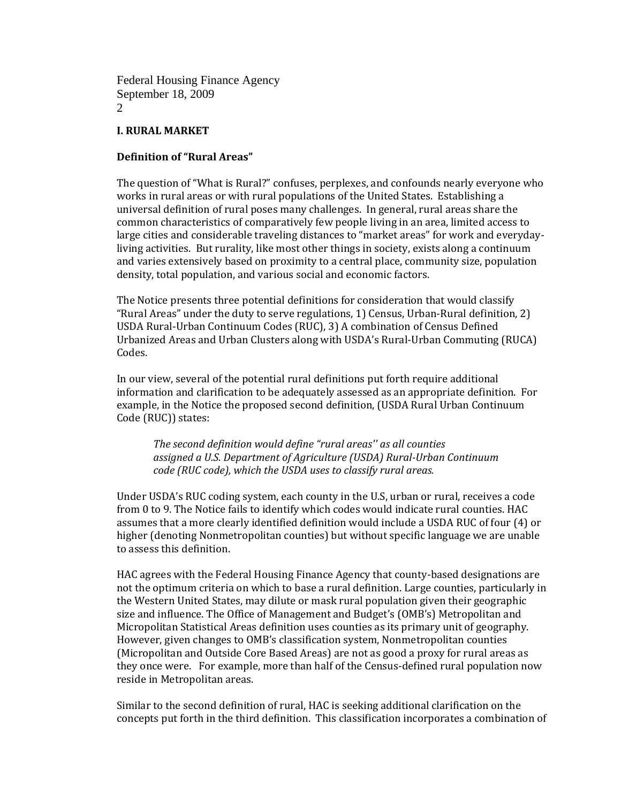#### **I. RURAL MARKET**

### **Definition of "Rural Areas"**

The question of "What is Rural?" confuses, perplexes, and confounds nearly everyone who works in rural areas or with rural populations of the United States. Establishing a universal definition of rural poses many challenges. In general, rural areas share the common characteristics of comparatively few people living in an area, limited access to large cities and considerable traveling distances to "market areas" for work and everydayliving activities. But rurality, like most other things in society, exists along a continuum and varies extensively based on proximity to a central place, community size, population density, total population, and various social and economic factors.

The Notice presents three potential definitions for consideration that would classify "Rural Areas" under the duty to serve regulations, 1) Census, Urban‐Rural definition, 2) USDA Rural‐Urban Continuum Codes (RUC), 3) A combination of Census Defined Urbanized Areas and Urban Clusters along with USDA's Rural‐Urban Commuting (RUCA) Codes.

In our view, several of the potential rural definitions put forth require additional information and clarification to be adequately assessed as an appropriate definition. For example, in the Notice the proposed second definition, (USDA Rural Urban Continuum Code (RUC)) states:

*The second definition would define "rural areas'' as all counties assigned a U.S. Department of Agriculture (USDA) RuralUrban Continuum code (RUC code), which the USDA uses to classify rural areas.*

Under USDA's RUC coding system, each county in the U.S, urban or rural, receives a code from 0 to 9. The Notice fails to identify which codes would indicate rural counties. HAC assumes that a more clearly identified definition would include a USDA RUC of four (4) or higher (denoting Nonmetropolitan counties) but without specific language we are unable to assess this definition.

HAC agrees with the Federal Housing Finance Agency that county‐based designations are not the optimum criteria on which to base a rural definition. Large counties, particularly in the Western United States, may dilute or mask rural population given their geographic size and influence. The Office of Management and Budget's (OMB's) Metropolitan and Micropolitan Statistical Areas definition uses counties as its primary unit of geography. However, given changes to OMB's classification system, Nonmetropolitan counties (Micropolitan and Outside Core Based Areas) are not as good a proxy for rural areas as they once were. For example, more than half of the Census‐defined rural population now reside in Metropolitan areas.

Similar to the second definition of rural, HAC is seeking additional clarification on the concepts put forth in the third definition. This classification incorporates a combination of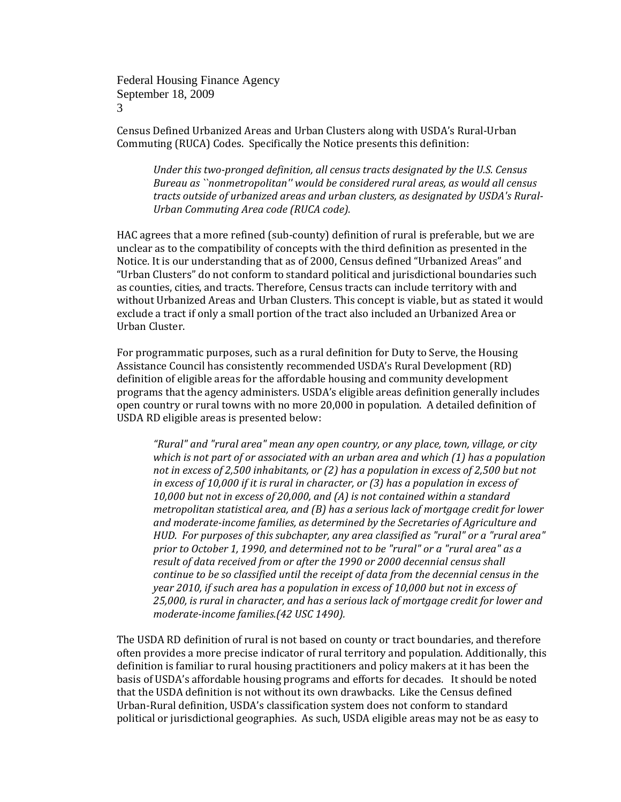Census Defined Urbanized Areas and Urban Clusters along with USDA's Rural‐Urban Commuting (RUCA) Codes. Specifically the Notice presents this definition:

*Under this twopronged definition, all census tracts designated by the U.S. Census Bureau as ``nonmetropolitan'' would be considered rural areas, as would all census tracts outside of urbanized areas and urban clusters, as designated by USDA's Rural-Urban Commuting Area code (RUCA code).*

HAC agrees that a more refined (sub‐county) definition of rural is preferable, but we are unclear as to the compatibility of concepts with the third definition as presented in the Notice. It is our understanding that as of 2000, Census defined "Urbanized Areas" and "Urban Clusters" do not conform to standard political and jurisdictional boundaries such as counties, cities, and tracts. Therefore, Census tracts can include territory with and without Urbanized Areas and Urban Clusters. This concept is viable, but as stated it would exclude a tract if only a small portion of the tract also included an Urbanized Area or Urban Cluster.

For programmatic purposes, such as a rural definition for Duty to Serve, the Housing Assistance Council has consistently recommended USDA's Rural Development (RD) definition of eligible areas for the affordable housing and community development programs that the agency administers. USDA's eligible areas definition generally includes open country or rural towns with no more 20,000 in population. A detailed definition of USDA RD eligible areas is presented below:

*"Rural" and "rural area" mean any open country, or any place, town, village, or city which is not part of or associated with an urban area and which (1) has a population not in excess of 2,500 inhabitants, or (2) has a population in excess of 2,500 but not in excess of 10,000 if it is rural in character, or (3) has a population in excess of 10,000 but not in excess of 20,000, and (A) is not contained within a standard metropolitan statistical area, and (B) has a serious lack of mortgage credit for lower and moderateincome families, as determined by the Secretaries of Agriculture and HUD. For purposes of this subchapter, any area classified as "rural" or a "rural area" prior to October 1, 1990, and determined not to be "rural" or a "rural area" as a result of data received from or after the 1990 or 2000 decennial census shall continue to be so classified until the receipt of data from the decennial census in the year 2010, if such area has a population in excess of 10,000 but not in excess of 25,000, is rural in character, and has a serious lack of mortgage credit for lower and moderateincome families.(42 USC 1490).* 

The USDA RD definition of rural is not based on county or tract boundaries, and therefore often provides a more precise indicator of rural territory and population. Additionally, this definition is familiar to rural housing practitioners and policy makers at it has been the basis of USDA's affordable housing programs and efforts for decades. It should be noted that the USDA definition is not without its own drawbacks. Like the Census defined Urban‐Rural definition, USDA's classification system does not conform to standard political or jurisdictional geographies. As such, USDA eligible areas may not be as easy to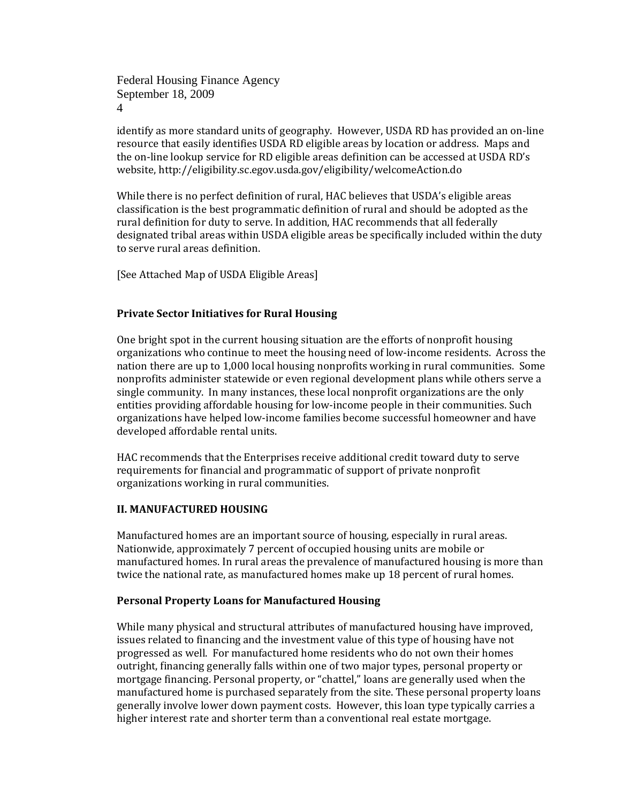identify as more standard units of geography. However, USDA RD has provided an on-line resource that easily identifies USDA RD eligible areas by location or address. Maps and the on-line lookup service for RD eligible areas definition can be accessed at USDA RD's website, http://eligibility.sc.egov.usda.gov/eligibility/welcomeAction.do

While there is no perfect definition of rural, HAC believes that USDA's eligible areas classification is the best programmatic definition of rural and should be adopted as the rural definition for duty to serve. In addition, HAC recommends that all federally designated tribal areas within USDA eligible areas be specifically included within the duty to serve rural areas definition.

[See Attached Map of USDA Eligible Areas]

### **Private Sector Initiatives for Rural Housing**

One bright spot in the current housing situation are the efforts of nonprofit housing organizations who continue to meet the housing need of low‐income residents. Across the nation there are up to 1,000 local housing nonprofits working in rural communities. Some nonprofits administer statewide or even regional development plans while others serve a single community. In many instances, these local nonprofit organizations are the only entities providing affordable housing for low‐income people in their communities. Such organizations have helped low‐income families become successful homeowner and have developed affordable rental units.

HAC recommends that the Enterprises receive additional credit toward duty to serve requirements for financial and programmatic of support of private nonprofit organizations working in rural communities.

## **II. MANUFACTURED HOUSING**

Manufactured homes are an important source of housing, especially in rural areas. Nationwide, approximately 7 percent of occupied housing units are mobile or manufactured homes. In rural areas the prevalence of manufactured housing is more than twice the national rate, as manufactured homes make up 18 percent of rural homes.

#### **Personal Property Loans for Manufactured Housing**

While many physical and structural attributes of manufactured housing have improved, issues related to financing and the investment value of this type of housing have not progressed as well. For manufactured home residents who do not own their homes outright, financing generally falls within one of two major types, personal property or mortgage financing. Personal property, or "chattel," loans are generally used when the manufactured home is purchased separately from the site. These personal property loans generally involve lower down payment costs. However, this loan type typically carries a higher interest rate and shorter term than a conventional real estate mortgage.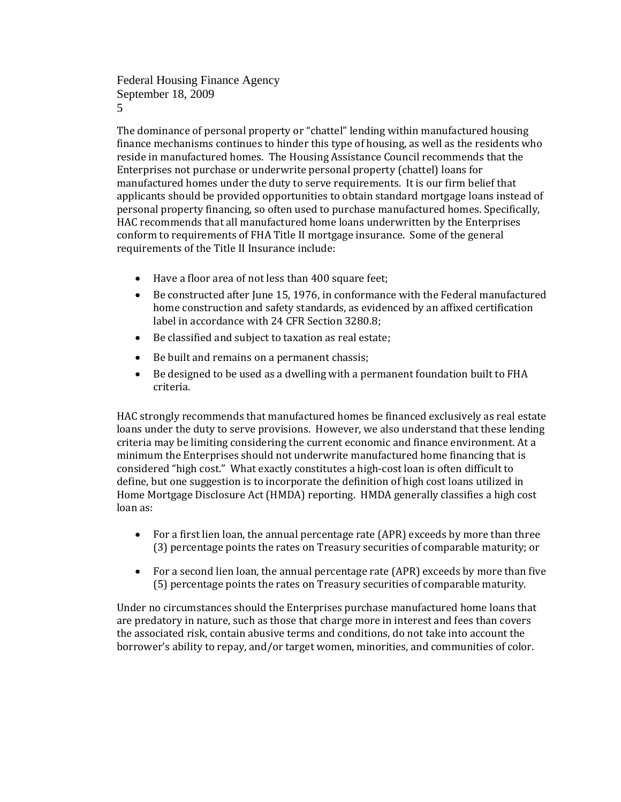The dominance of personal property or "chattel" lending within manufactured housing finance mechanisms continues to hinder this type of housing, as well as the residents who reside in manufactured homes. The Housing Assistance Council recommends that the Enterprises not purchase or underwrite personal property (chattel) loans for manufactured homes under the duty to serve requirements. It is our firm belief that applicants should be provided opportunities to obtain standard mortgage loans instead of personal property financing, so often used to purchase manufactured homes. Specifically, HAC recommends that all manufactured home loans underwritten by the Enterprises conform to requirements of FHA Title II mortgage insurance. Some of the general requirements of the Title II Insurance include:

- Have a floor area of not less than 400 square feet;
- Be constructed after June 15, 1976, in conformance with the Federal manufactured home construction and safety standards, as evidenced by an affixed certification label in accordance with 24 CFR Section 3280.8;
- Be classified and subject to taxation as real estate;
- Be built and remains on a permanent chassis;
- Be designed to be used as a dwelling with a permanent foundation built to FHA criteria.

HAC strongly recommends that manufactured homes be financed exclusively as real estate loans under the duty to serve provisions. However, we also understand that these lending criteria may be limiting considering the current economic and finance environment. At a minimum the Enterprises should not underwrite manufactured home financing that is considered "high cost." What exactly constitutes a high‐cost loan is often difficult to define, but one suggestion is to incorporate the definition of high cost loans utilized in Home Mortgage Disclosure Act (HMDA) reporting. HMDA generally classifies a high cost loan as:

- For a first lien loan, the annual percentage rate (APR) exceeds by more than three (3) percentage points the rates on Treasury securities of comparable maturity; or
- For a second lien loan, the annual percentage rate (APR) exceeds by more than five (5) percentage points the rates on Treasury securities of comparable maturity.

Under no circumstances should the Enterprises purchase manufactured home loans that are predatory in nature, such as those that charge more in interest and fees than covers the associated risk, contain abusive terms and conditions, do not take into account the borrower's ability to repay, and/or target women, minorities, and communities of color.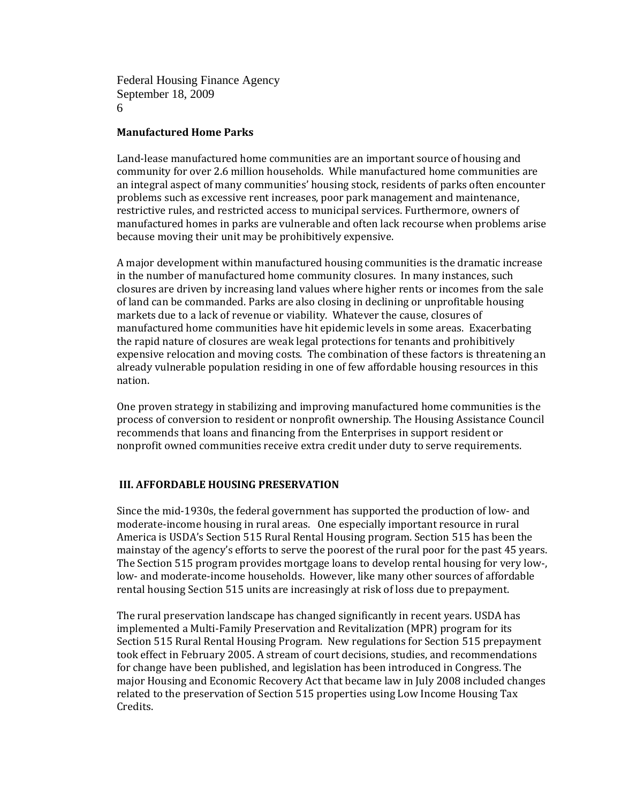#### **Manufactured Home Parks**

Land-lease manufactured home communities are an important source of housing and community for over 2.6 million households. While manufactured home communities are an integral aspect of many communities' housing stock, residents of parks often encounter problems such as excessive rent increases, poor park management and maintenance, restrictive rules, and restricted access to municipal services. Furthermore, owners of manufactured homes in parks are vulnerable and often lack recourse when problems arise because moving their unit may be prohibitively expensive.

A major development within manufactured housing communities is the dramatic increase in the number of manufactured home community closures. In many instances, such closures are driven by increasing land values where higher rents or incomes from the sale of land can be commanded. Parks are also closing in declining or unprofitable housing markets due to a lack of revenue or viability. Whatever the cause, closures of manufactured home communities have hit epidemic levels in some areas. Exacerbating the rapid nature of closures are weak legal protections for tenants and prohibitively expensive relocation and moving costs. The combination of these factors is threatening an already vulnerable population residing in one of few affordable housing resources in this nation.

One proven strategy in stabilizing and improving manufactured home communities is the process of conversion to resident or nonprofit ownership. The Housing Assistance Council recommends that loans and financing from the Enterprises in support resident or nonprofit owned communities receive extra credit under duty to serve requirements.

## **III. AFFORDABLE HOUSING PRESERVATION**

Since the mid‐1930s, the federal government has supported the production of low‐ and moderate‐income housing in rural areas. One especially important resource in rural America is USDA's Section 515 Rural Rental Housing program. Section 515 has been the mainstay of the agency's efforts to serve the poorest of the rural poor for the past 45 years. The Section 515 program provides mortgage loans to develop rental housing for very low-, low- and moderate-income households. However, like many other sources of affordable rental housing Section 515 units are increasingly at risk of loss due to prepayment.

The rural preservation landscape has changed significantly in recent years. USDA has implemented a Multi‐Family Preservation and Revitalization (MPR) program for its Section 515 Rural Rental Housing Program. New regulations for Section 515 prepayment took effect in February 2005. A stream of court decisions, studies, and recommendations for change have been published, and legislation has been introduced in Congress. The major Housing and Economic Recovery Act that became law in July 2008 included changes related to the preservation of Section 515 properties using Low Income Housing Tax Credits.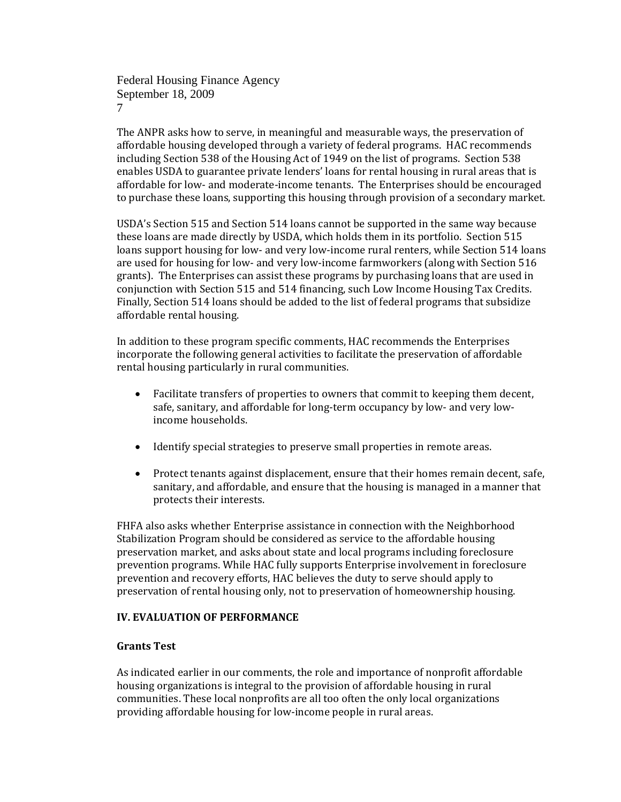The ANPR asks how to serve, in meaningful and measurable ways, the preservation of affordable housing developed through a variety of federal programs. HAC recommends including Section 538 of the Housing Act of 1949 on the list of programs. Section 538 enables USDA to guarantee private lenders' loans for rental housing in rural areas that is affordable for low‐ and moderate‐income tenants. The Enterprises should be encouraged to purchase these loans, supporting this housing through provision of a secondary market.

USDA's Section 515 and Section 514 loans cannot be supported in the same way because these loans are made directly by USDA, which holds them in its portfolio. Section 515 loans support housing for low- and very low-income rural renters, while Section 514 loans are used for housing for low‐ and very low‐income farmworkers (along with Section 516 grants). The Enterprises can assist these programs by purchasing loans that are used in conjunction with Section 515 and 514 financing, such Low Income Housing Tax Credits. Finally, Section 514 loans should be added to the list of federal programs that subsidize affordable rental housing.

In addition to these program specific comments, HAC recommends the Enterprises incorporate the following general activities to facilitate the preservation of affordable rental housing particularly in rural communities.

- Facilitate transfers of properties to owners that commit to keeping them decent, safe, sanitary, and affordable for long-term occupancy by low- and very lowincome households.
- Identify special strategies to preserve small properties in remote areas.
- Protect tenants against displacement, ensure that their homes remain decent, safe, sanitary, and affordable, and ensure that the housing is managed in a manner that protects their interests.

FHFA also asks whether Enterprise assistance in connection with the Neighborhood Stabilization Program should be considered as service to the affordable housing preservation market, and asks about state and local programs including foreclosure prevention programs. While HAC fully supports Enterprise involvement in foreclosure prevention and recovery efforts, HAC believes the duty to serve should apply to preservation of rental housing only, not to preservation of homeownership housing.

## **IV. EVALUATION OF PERFORMANCE**

# **Grants Test**

As indicated earlier in our comments, the role and importance of nonprofit affordable housing organizations is integral to the provision of affordable housing in rural communities. These local nonprofits are all too often the only local organizations providing affordable housing for low‐income people in rural areas.